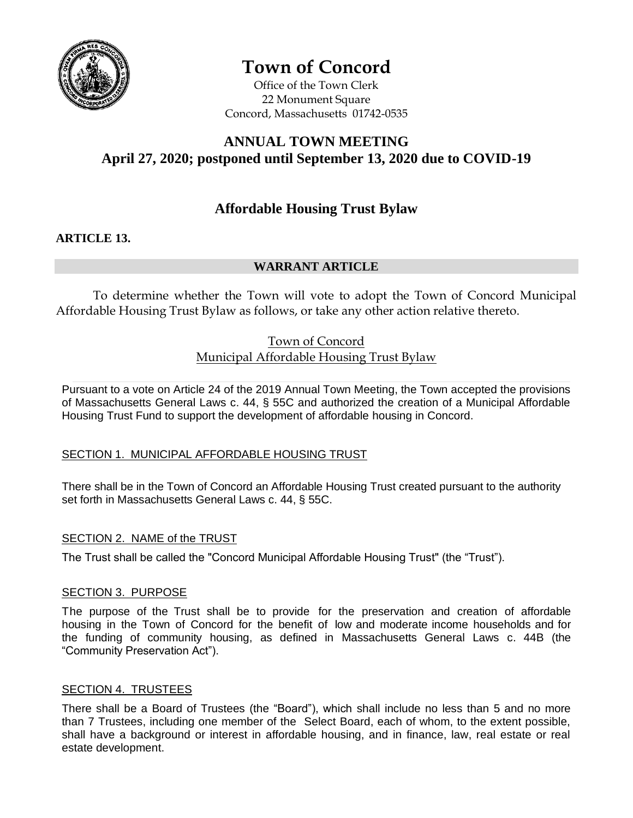

# **Town of Concord**

Office of the Town Clerk 22 Monument Square Concord, Massachusetts 01742-0535

# **ANNUAL TOWN MEETING April 27, 2020; postponed until September 13, 2020 due to COVID-19**

# **Affordable Housing Trust Bylaw**

## **ARTICLE 13.**

# **WARRANT ARTICLE**

To determine whether the Town will vote to adopt the Town of Concord Municipal Affordable Housing Trust Bylaw as follows, or take any other action relative thereto.

# Town of Concord Municipal Affordable Housing Trust Bylaw

Pursuant to a vote on Article 24 of the 2019 Annual Town Meeting, the Town accepted the provisions of Massachusetts General Laws c. 44, § 55C and authorized the creation of a Municipal Affordable Housing Trust Fund to support the development of affordable housing in Concord.

## SECTION 1. MUNICIPAL AFFORDABLE HOUSING TRUST

There shall be in the Town of Concord an Affordable Housing Trust created pursuant to the authority set forth in Massachusetts General Laws c. 44, § 55C.

## SECTION 2.NAME of the TRUST

The Trust shall be called the "Concord Municipal Affordable Housing Trust" (the "Trust").

#### SECTION 3. PURPOSE

The purpose of the Trust shall be to provide for the preservation and creation of affordable housing in the Town of Concord for the benefit of low and moderate income households and for the funding of community housing, as defined in Massachusetts General Laws c. 44B (the "Community Preservation Act").

#### **SECTION 4. TRUSTEES**

There shall be a Board of Trustees (the "Board"), which shall include no less than 5 and no more than 7 Trustees, including one member of the Select Board, each of whom, to the extent possible, shall have a background or interest in affordable housing, and in finance, law, real estate or real estate development.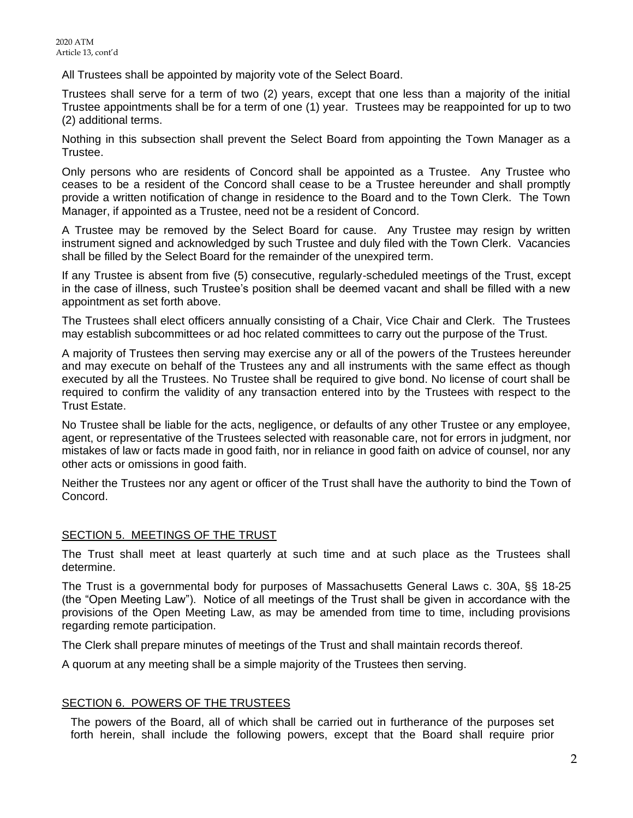All Trustees shall be appointed by majority vote of the Select Board.

Trustees shall serve for a term of two (2) years, except that one less than a majority of the initial Trustee appointments shall be for a term of one (1) year. Trustees may be reappointed for up to two (2) additional terms.

Nothing in this subsection shall prevent the Select Board from appointing the Town Manager as a Trustee.

Only persons who are residents of Concord shall be appointed as a Trustee. Any Trustee who ceases to be a resident of the Concord shall cease to be a Trustee hereunder and shall promptly provide a written notification of change in residence to the Board and to the Town Clerk. The Town Manager, if appointed as a Trustee, need not be a resident of Concord.

A Trustee may be removed by the Select Board for cause. Any Trustee may resign by written instrument signed and acknowledged by such Trustee and duly filed with the Town Clerk. Vacancies shall be filled by the Select Board for the remainder of the unexpired term.

If any Trustee is absent from five (5) consecutive, regularly-scheduled meetings of the Trust, except in the case of illness, such Trustee's position shall be deemed vacant and shall be filled with a new appointment as set forth above.

The Trustees shall elect officers annually consisting of a Chair, Vice Chair and Clerk. The Trustees may establish subcommittees or ad hoc related committees to carry out the purpose of the Trust.

A majority of Trustees then serving may exercise any or all of the powers of the Trustees hereunder and may execute on behalf of the Trustees any and all instruments with the same effect as though executed by all the Trustees. No Trustee shall be required to give bond. No license of court shall be required to confirm the validity of any transaction entered into by the Trustees with respect to the Trust Estate.

No Trustee shall be liable for the acts, negligence, or defaults of any other Trustee or any employee, agent, or representative of the Trustees selected with reasonable care, not for errors in judgment, nor mistakes of law or facts made in good faith, nor in reliance in good faith on advice of counsel, nor any other acts or omissions in good faith.

Neither the Trustees nor any agent or officer of the Trust shall have the authority to bind the Town of Concord.

#### SECTION 5. MEETINGS OF THE TRUST

The Trust shall meet at least quarterly at such time and at such place as the Trustees shall determine.

The Trust is a governmental body for purposes of Massachusetts General Laws c. 30A, §§ 18-25 (the "Open Meeting Law"). Notice of all meetings of the Trust shall be given in accordance with the provisions of the Open Meeting Law, as may be amended from time to time, including provisions regarding remote participation.

The Clerk shall prepare minutes of meetings of the Trust and shall maintain records thereof.

A quorum at any meeting shall be a simple majority of the Trustees then serving.

#### SECTION 6.POWERS OF THE TRUSTEES

The powers of the Board, all of which shall be carried out in furtherance of the purposes set forth herein, shall include the following powers, except that the Board shall require prior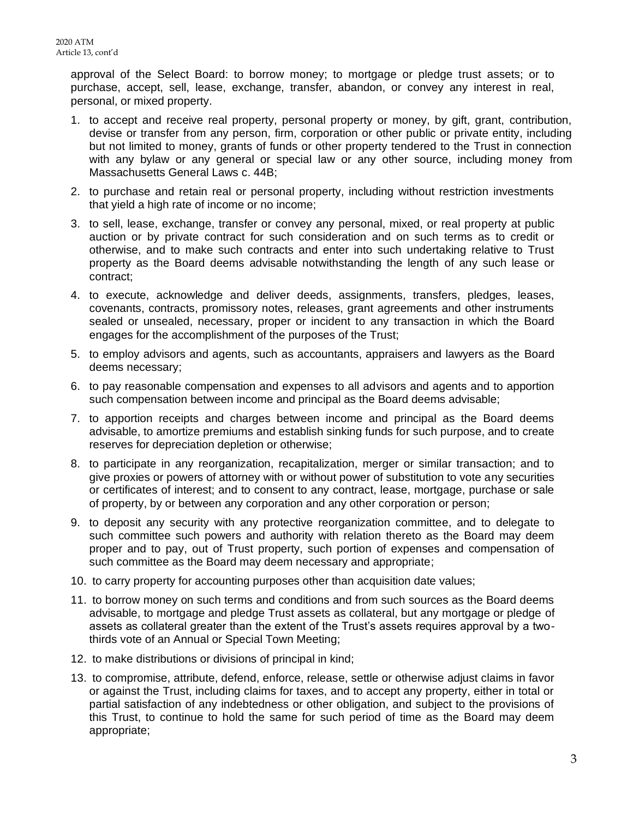approval of the Select Board: to borrow money; to mortgage or pledge trust assets; or to purchase, accept, sell, lease, exchange, transfer, abandon, or convey any interest in real, personal, or mixed property.

- 1. to accept and receive real property, personal property or money, by gift, grant, contribution, devise or transfer from any person, firm, corporation or other public or private entity, including but not limited to money, grants of funds or other property tendered to the Trust in connection with any bylaw or any general or special law or any other source, including money from Massachusetts General Laws c. 44B;
- 2. to purchase and retain real or personal property, including without restriction investments that yield a high rate of income or no income;
- 3. to sell, lease, exchange, transfer or convey any personal, mixed, or real property at public auction or by private contract for such consideration and on such terms as to credit or otherwise, and to make such contracts and enter into such undertaking relative to Trust property as the Board deems advisable notwithstanding the length of any such lease or contract;
- 4. to execute, acknowledge and deliver deeds, assignments, transfers, pledges, leases, covenants, contracts, promissory notes, releases, grant agreements and other instruments sealed or unsealed, necessary, proper or incident to any transaction in which the Board engages for the accomplishment of the purposes of the Trust;
- 5. to employ advisors and agents, such as accountants, appraisers and lawyers as the Board deems necessary;
- 6. to pay reasonable compensation and expenses to all advisors and agents and to apportion such compensation between income and principal as the Board deems advisable;
- 7. to apportion receipts and charges between income and principal as the Board deems advisable, to amortize premiums and establish sinking funds for such purpose, and to create reserves for depreciation depletion or otherwise;
- 8. to participate in any reorganization, recapitalization, merger or similar transaction; and to give proxies or powers of attorney with or without power of substitution to vote any securities or certificates of interest; and to consent to any contract, lease, mortgage, purchase or sale of property, by or between any corporation and any other corporation or person;
- 9. to deposit any security with any protective reorganization committee, and to delegate to such committee such powers and authority with relation thereto as the Board may deem proper and to pay, out of Trust property, such portion of expenses and compensation of such committee as the Board may deem necessary and appropriate;
- 10. to carry property for accounting purposes other than acquisition date values;
- 11. to borrow money on such terms and conditions and from such sources as the Board deems advisable, to mortgage and pledge Trust assets as collateral, but any mortgage or pledge of assets as collateral greater than the extent of the Trust's assets requires approval by a twothirds vote of an Annual or Special Town Meeting;
- 12. to make distributions or divisions of principal in kind;
- 13. to compromise, attribute, defend, enforce, release, settle or otherwise adjust claims in favor or against the Trust, including claims for taxes, and to accept any property, either in total or partial satisfaction of any indebtedness or other obligation, and subject to the provisions of this Trust, to continue to hold the same for such period of time as the Board may deem appropriate;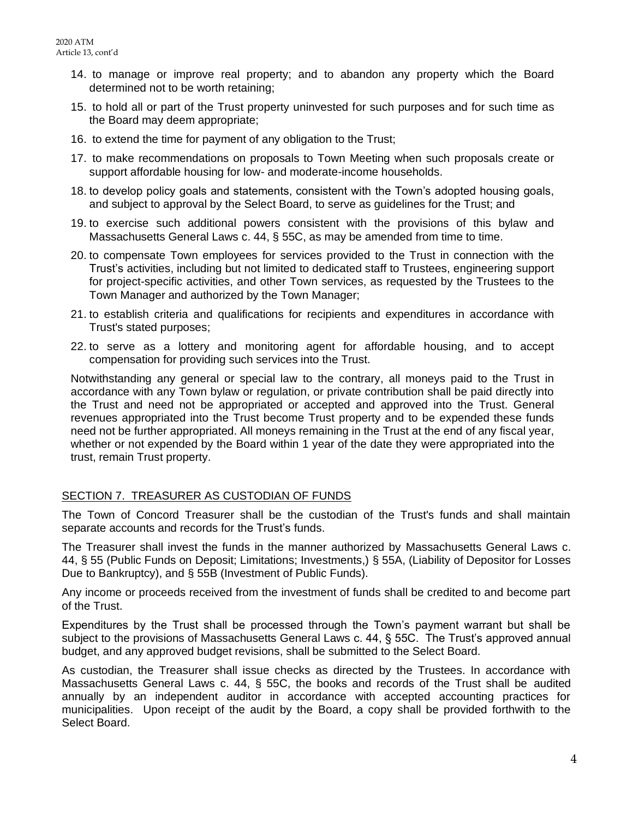- 14. to manage or improve real property; and to abandon any property which the Board determined not to be worth retaining;
- 15. to hold all or part of the Trust property uninvested for such purposes and for such time as the Board may deem appropriate;
- 16. to extend the time for payment of any obligation to the Trust;
- 17. to make recommendations on proposals to Town Meeting when such proposals create or support affordable housing for low- and moderate-income households.
- 18. to develop policy goals and statements, consistent with the Town's adopted housing goals, and subject to approval by the Select Board, to serve as guidelines for the Trust; and
- 19. to exercise such additional powers consistent with the provisions of this bylaw and Massachusetts General Laws c. 44, § 55C, as may be amended from time to time.
- 20. to compensate Town employees for services provided to the Trust in connection with the Trust's activities, including but not limited to dedicated staff to Trustees, engineering support for project-specific activities, and other Town services, as requested by the Trustees to the Town Manager and authorized by the Town Manager;
- 21. to establish criteria and qualifications for recipients and expenditures in accordance with Trust's stated purposes;
- 22. to serve as a lottery and monitoring agent for affordable housing, and to accept compensation for providing such services into the Trust.

Notwithstanding any general or special law to the contrary, all moneys paid to the Trust in accordance with any Town bylaw or regulation, or private contribution shall be paid directly into the Trust and need not be appropriated or accepted and approved into the Trust. General revenues appropriated into the Trust become Trust property and to be expended these funds need not be further appropriated. All moneys remaining in the Trust at the end of any fiscal year, whether or not expended by the Board within 1 year of the date they were appropriated into the trust, remain Trust property.

#### SECTION 7.TREASURER AS CUSTODIAN OF FUNDS

The Town of Concord Treasurer shall be the custodian of the Trust's funds and shall maintain separate accounts and records for the Trust's funds.

The Treasurer shall invest the funds in the manner authorized by Massachusetts General Laws c. 44, § 55 (Public Funds on Deposit; Limitations; Investments,) § 55A, (Liability of Depositor for Losses Due to Bankruptcy), and § 55B (Investment of Public Funds).

Any income or proceeds received from the investment of funds shall be credited to and become part of the Trust.

Expenditures by the Trust shall be processed through the Town's payment warrant but shall be subject to the provisions of Massachusetts General Laws c. 44, § 55C. The Trust's approved annual budget, and any approved budget revisions, shall be submitted to the Select Board.

As custodian, the Treasurer shall issue checks as directed by the Trustees. In accordance with Massachusetts General Laws c. 44, § 55C, the books and records of the Trust shall be audited annually by an independent auditor in accordance with accepted accounting practices for municipalities. Upon receipt of the audit by the Board, a copy shall be provided forthwith to the Select Board.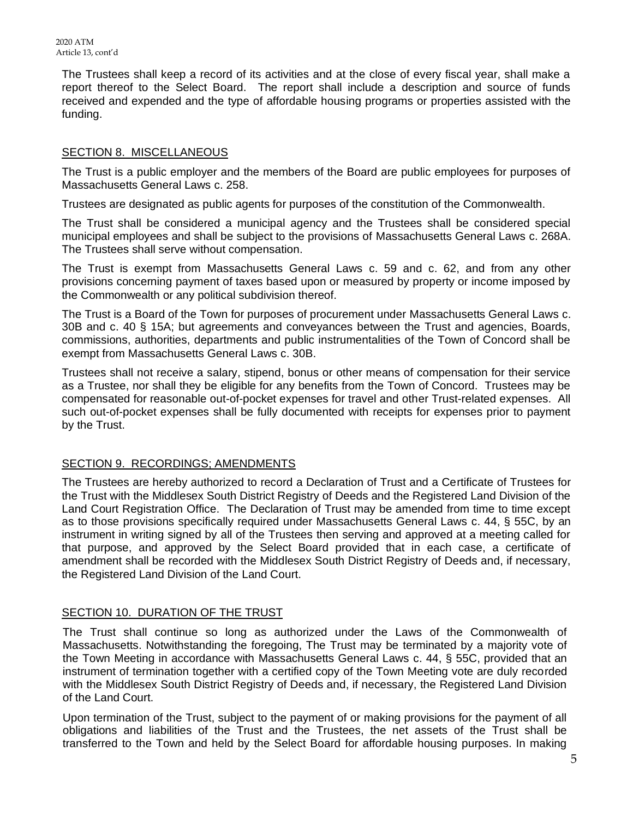The Trustees shall keep a record of its activities and at the close of every fiscal year, shall make a report thereof to the Select Board. The report shall include a description and source of funds received and expended and the type of affordable housing programs or properties assisted with the funding.

#### **SECTION 8. MISCELLANEOUS**

The Trust is a public employer and the members of the Board are public employees for purposes of Massachusetts General Laws c. 258.

Trustees are designated as public agents for purposes of the constitution of the Commonwealth.

The Trust shall be considered a municipal agency and the Trustees shall be considered special municipal employees and shall be subject to the provisions of Massachusetts General Laws c. 268A. The Trustees shall serve without compensation.

The Trust is exempt from Massachusetts General Laws c. 59 and c. 62, and from any other provisions concerning payment of taxes based upon or measured by property or income imposed by the Commonwealth or any political subdivision thereof.

The Trust is a Board of the Town for purposes of procurement under Massachusetts General Laws c. 30B and c. 40 § 15A; but agreements and conveyances between the Trust and agencies, Boards, commissions, authorities, departments and public instrumentalities of the Town of Concord shall be exempt from Massachusetts General Laws c. 30B.

Trustees shall not receive a salary, stipend, bonus or other means of compensation for their service as a Trustee, nor shall they be eligible for any benefits from the Town of Concord. Trustees may be compensated for reasonable out-of-pocket expenses for travel and other Trust-related expenses. All such out-of-pocket expenses shall be fully documented with receipts for expenses prior to payment by the Trust.

#### SECTION 9.RECORDINGS; AMENDMENTS

The Trustees are hereby authorized to record a Declaration of Trust and a Certificate of Trustees for the Trust with the Middlesex South District Registry of Deeds and the Registered Land Division of the Land Court Registration Office. The Declaration of Trust may be amended from time to time except as to those provisions specifically required under Massachusetts General Laws c. 44, § 55C, by an instrument in writing signed by all of the Trustees then serving and approved at a meeting called for that purpose, and approved by the Select Board provided that in each case, a certificate of amendment shall be recorded with the Middlesex South District Registry of Deeds and, if necessary, the Registered Land Division of the Land Court.

#### SECTION 10.DURATION OF THE TRUST

The Trust shall continue so long as authorized under the Laws of the Commonwealth of Massachusetts. Notwithstanding the foregoing, The Trust may be terminated by a majority vote of the Town Meeting in accordance with Massachusetts General Laws c. 44, § 55C, provided that an instrument of termination together with a certified copy of the Town Meeting vote are duly recorded with the Middlesex South District Registry of Deeds and, if necessary, the Registered Land Division of the Land Court.

Upon termination of the Trust, subject to the payment of or making provisions for the payment of all obligations and liabilities of the Trust and the Trustees, the net assets of the Trust shall be transferred to the Town and held by the Select Board for affordable housing purposes. In making